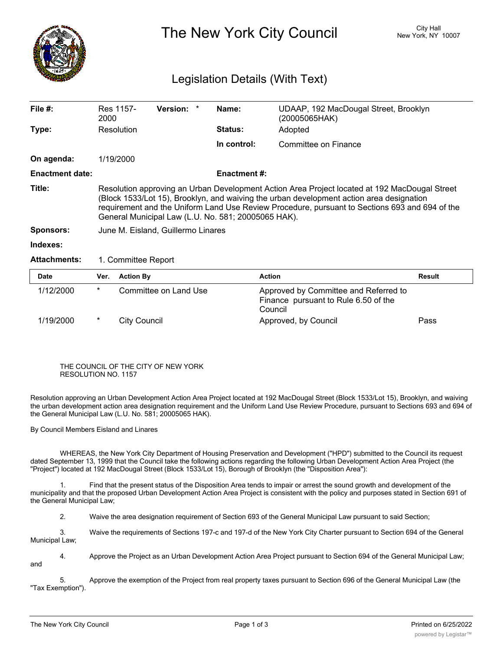

The New York City Council New York, NY 10007

┑

## Legislation Details (With Text)

| File $#$ :             | Res 1157-<br>2000                                                                                                                                                                                                                                                                                                                                  | Version: * |  | Name:               | UDAAP, 192 MacDougal Street, Brooklyn<br>(20005065HAK) |        |  |  |
|------------------------|----------------------------------------------------------------------------------------------------------------------------------------------------------------------------------------------------------------------------------------------------------------------------------------------------------------------------------------------------|------------|--|---------------------|--------------------------------------------------------|--------|--|--|
| Type:                  | Resolution                                                                                                                                                                                                                                                                                                                                         |            |  | <b>Status:</b>      | Adopted                                                |        |  |  |
|                        |                                                                                                                                                                                                                                                                                                                                                    |            |  | In control:         | Committee on Finance                                   |        |  |  |
| On agenda:             | 1/19/2000                                                                                                                                                                                                                                                                                                                                          |            |  |                     |                                                        |        |  |  |
| <b>Enactment date:</b> |                                                                                                                                                                                                                                                                                                                                                    |            |  | <b>Enactment #:</b> |                                                        |        |  |  |
| Title:                 | Resolution approving an Urban Development Action Area Project located at 192 MacDougal Street<br>(Block 1533/Lot 15), Brooklyn, and waiving the urban development action area designation<br>requirement and the Uniform Land Use Review Procedure, pursuant to Sections 693 and 694 of the<br>General Municipal Law (L.U. No. 581; 20005065 HAK). |            |  |                     |                                                        |        |  |  |
| <b>Sponsors:</b>       | June M. Eisland, Guillermo Linares                                                                                                                                                                                                                                                                                                                 |            |  |                     |                                                        |        |  |  |
| Indexes:               |                                                                                                                                                                                                                                                                                                                                                    |            |  |                     |                                                        |        |  |  |
| <b>Attachments:</b>    | 1. Committee Report                                                                                                                                                                                                                                                                                                                                |            |  |                     |                                                        |        |  |  |
| <b>Date</b>            | <b>Action By</b><br>Ver.                                                                                                                                                                                                                                                                                                                           |            |  |                     | <b>Action</b>                                          | Result |  |  |

| Date      | ver. | <b>Action By</b>      | Action                                                                                   | Result |
|-----------|------|-----------------------|------------------------------------------------------------------------------------------|--------|
| 1/12/2000 | *    | Committee on Land Use | Approved by Committee and Referred to<br>Finance pursuant to Rule 6.50 of the<br>Council |        |
| 1/19/2000 |      | City Council          | Approved, by Council                                                                     | Pass   |

## THE COUNCIL OF THE CITY OF NEW YORK RESOLUTION NO. 1157

Resolution approving an Urban Development Action Area Project located at 192 MacDougal Street (Block 1533/Lot 15), Brooklyn, and waiving the urban development action area designation requirement and the Uniform Land Use Review Procedure, pursuant to Sections 693 and 694 of the General Municipal Law (L.U. No. 581; 20005065 HAK).

By Council Members Eisland and Linares

WHEREAS, the New York City Department of Housing Preservation and Development ("HPD") submitted to the Council its request dated September 13, 1999 that the Council take the following actions regarding the following Urban Development Action Area Project (the "Project") located at 192 MacDougal Street (Block 1533/Lot 15), Borough of Brooklyn (the "Disposition Area"):

1. Find that the present status of the Disposition Area tends to impair or arrest the sound growth and development of the municipality and that the proposed Urban Development Action Area Project is consistent with the policy and purposes stated in Section 691 of the General Municipal Law;

2. Waive the area designation requirement of Section 693 of the General Municipal Law pursuant to said Section;

3. Waive the requirements of Sections 197-c and 197-d of the New York City Charter pursuant to Section 694 of the General Municipal Law;

4. Approve the Project as an Urban Development Action Area Project pursuant to Section 694 of the General Municipal Law; and

5. Approve the exemption of the Project from real property taxes pursuant to Section 696 of the General Municipal Law (the "Tax Exemption").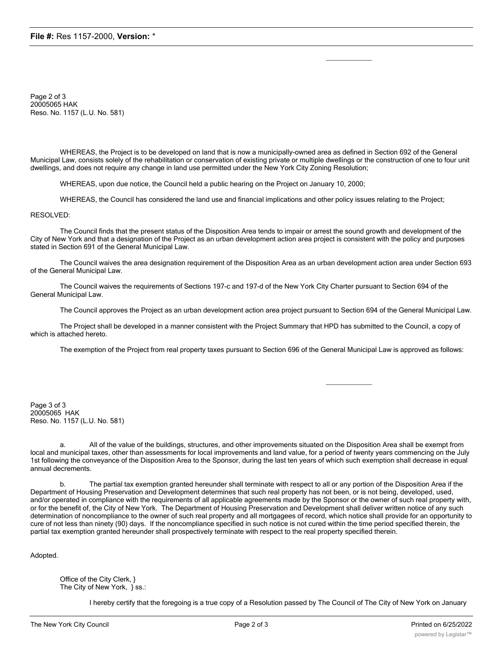Page 2 of 3 20005065 HAK Reso. No. 1157 (L.U. No. 581)

WHEREAS, the Project is to be developed on land that is now a municipally-owned area as defined in Section 692 of the General Municipal Law, consists solely of the rehabilitation or conservation of existing private or multiple dwellings or the construction of one to four unit dwellings, and does not require any change in land use permitted under the New York City Zoning Resolution;

 $\mathcal{L}=\mathcal{L}^{\mathcal{L}}$ 

 $\mathcal{L}=\mathcal{L}^{\mathcal{L}}$ 

WHEREAS, upon due notice, the Council held a public hearing on the Project on January 10, 2000;

WHEREAS, the Council has considered the land use and financial implications and other policy issues relating to the Project;

RESOLVED:

The Council finds that the present status of the Disposition Area tends to impair or arrest the sound growth and development of the City of New York and that a designation of the Project as an urban development action area project is consistent with the policy and purposes stated in Section 691 of the General Municipal Law.

The Council waives the area designation requirement of the Disposition Area as an urban development action area under Section 693 of the General Municipal Law.

The Council waives the requirements of Sections 197-c and 197-d of the New York City Charter pursuant to Section 694 of the General Municipal Law.

The Council approves the Project as an urban development action area project pursuant to Section 694 of the General Municipal Law.

The Project shall be developed in a manner consistent with the Project Summary that HPD has submitted to the Council, a copy of which is attached hereto.

The exemption of the Project from real property taxes pursuant to Section 696 of the General Municipal Law is approved as follows:

Page 3 of 3 20005065 HAK Reso. No. 1157 (L.U. No. 581)

All of the value of the buildings, structures, and other improvements situated on the Disposition Area shall be exempt from local and municipal taxes, other than assessments for local improvements and land value, for a period of twenty years commencing on the July 1st following the conveyance of the Disposition Area to the Sponsor, during the last ten years of which such exemption shall decrease in equal annual decrements.

The partial tax exemption granted hereunder shall terminate with respect to all or any portion of the Disposition Area if the Department of Housing Preservation and Development determines that such real property has not been, or is not being, developed, used, and/or operated in compliance with the requirements of all applicable agreements made by the Sponsor or the owner of such real property with, or for the benefit of, the City of New York. The Department of Housing Preservation and Development shall deliver written notice of any such determination of noncompliance to the owner of such real property and all mortgagees of record, which notice shall provide for an opportunity to cure of not less than ninety (90) days. If the noncompliance specified in such notice is not cured within the time period specified therein, the partial tax exemption granted hereunder shall prospectively terminate with respect to the real property specified therein.

Adopted.

Office of the City Clerk, } The City of New York, } ss.:

I hereby certify that the foregoing is a true copy of a Resolution passed by The Council of The City of New York on January